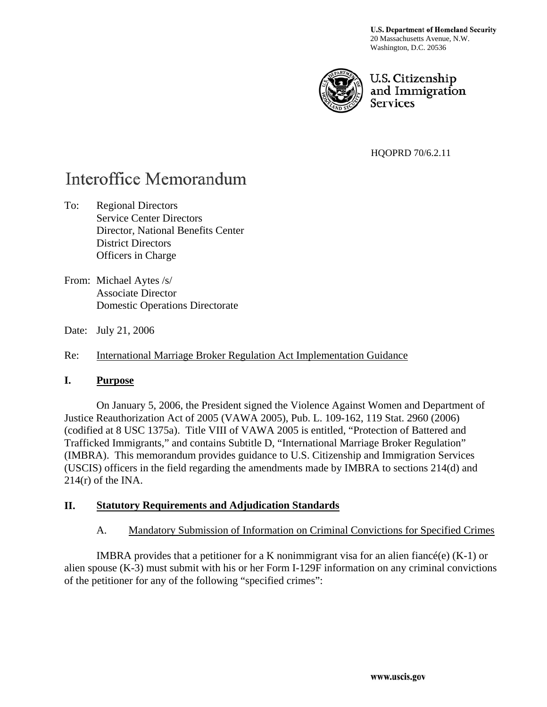**U.S. Department of Homeland Security** 20 Massachusetts Avenue, N.W. Washington, D.C. 20536



U.S. Citizenship and Immigration **Services** 

HQOPRD 70/6.2.11

# Interoffice Memorandum

To: Regional Directors Service Center Directors Director, National Benefits Center District Directors Officers in Charge

From: Michael Aytes /s/ Associate Director Domestic Operations Directorate

Date: July 21, 2006

Re: International Marriage Broker Regulation Act Implementation Guidance

#### **I. Purpose**

 On January 5, 2006, the President signed the Violence Against Women and Department of Justice Reauthorization Act of 2005 (VAWA 2005), Pub. L. 109-162, 119 Stat. 2960 (2006) (codified at 8 USC 1375a). Title VIII of VAWA 2005 is entitled, "Protection of Battered and Trafficked Immigrants," and contains Subtitle D, "International Marriage Broker Regulation" (IMBRA). This memorandum provides guidance to U.S. Citizenship and Immigration Services (USCIS) officers in the field regarding the amendments made by IMBRA to sections 214(d) and  $214(r)$  of the INA.

## **II. Statutory Requirements and Adjudication Standards**

#### A. Mandatory Submission of Information on Criminal Convictions for Specified Crimes

IMBRA provides that a petitioner for a K nonimmigrant visa for an alien fiance  $(e)$  (K-1) or alien spouse (K-3) must submit with his or her Form I-129F information on any criminal convictions of the petitioner for any of the following "specified crimes":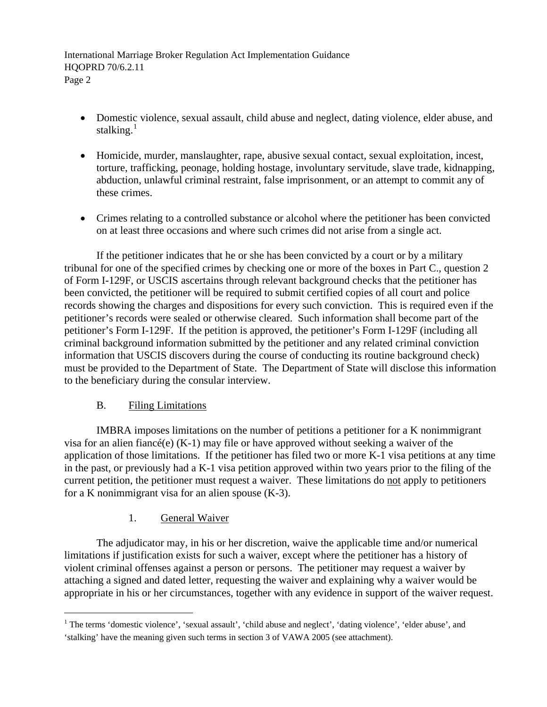- Domestic violence, sexual assault, child abuse and neglect, dating violence, elder abuse, and stalking. $<sup>1</sup>$  $<sup>1</sup>$  $<sup>1</sup>$ </sup>
- Homicide, murder, manslaughter, rape, abusive sexual contact, sexual exploitation, incest, torture, trafficking, peonage, holding hostage, involuntary servitude, slave trade, kidnapping, abduction, unlawful criminal restraint, false imprisonment, or an attempt to commit any of these crimes.
- Crimes relating to a controlled substance or alcohol where the petitioner has been convicted on at least three occasions and where such crimes did not arise from a single act.

 If the petitioner indicates that he or she has been convicted by a court or by a military tribunal for one of the specified crimes by checking one or more of the boxes in Part C., question 2 of Form I-129F, or USCIS ascertains through relevant background checks that the petitioner has been convicted, the petitioner will be required to submit certified copies of all court and police records showing the charges and dispositions for every such conviction. This is required even if the petitioner's records were sealed or otherwise cleared. Such information shall become part of the petitioner's Form I-129F. If the petition is approved, the petitioner's Form I-129F (including all criminal background information submitted by the petitioner and any related criminal conviction information that USCIS discovers during the course of conducting its routine background check) must be provided to the Department of State. The Department of State will disclose this information to the beneficiary during the consular interview.

## B. Filing Limitations

l

 IMBRA imposes limitations on the number of petitions a petitioner for a K nonimmigrant visa for an alien fiancé(e) (K-1) may file or have approved without seeking a waiver of the application of those limitations. If the petitioner has filed two or more K-1 visa petitions at any time in the past, or previously had a K-1 visa petition approved within two years prior to the filing of the current petition, the petitioner must request a waiver. These limitations do not apply to petitioners for a K nonimmigrant visa for an alien spouse  $(K-3)$ .

## 1. General Waiver

 The adjudicator may, in his or her discretion, waive the applicable time and/or numerical limitations if justification exists for such a waiver, except where the petitioner has a history of violent criminal offenses against a person or persons. The petitioner may request a waiver by attaching a signed and dated letter, requesting the waiver and explaining why a waiver would be appropriate in his or her circumstances, together with any evidence in support of the waiver request.

<span id="page-1-0"></span><sup>&</sup>lt;sup>1</sup> The terms 'domestic violence', 'sexual assault', 'child abuse and neglect', 'dating violence', 'elder abuse', and 'stalking' have the meaning given such terms in section 3 of VAWA 2005 (see attachment).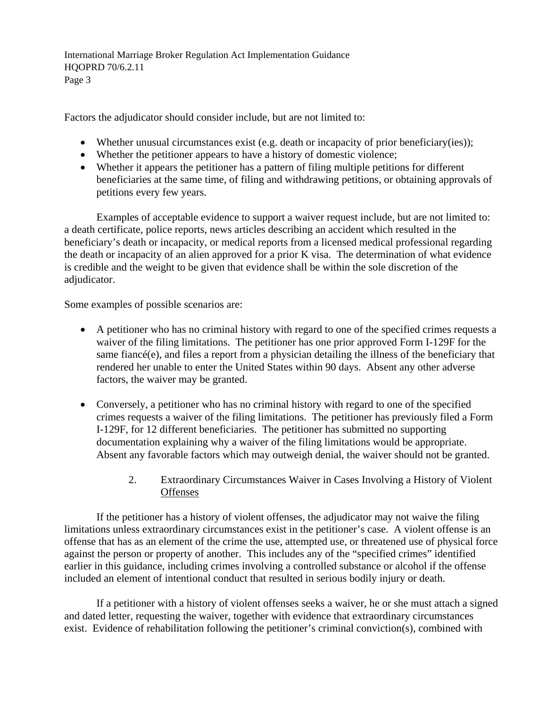Factors the adjudicator should consider include, but are not limited to:

- Whether unusual circumstances exist (e.g. death or incapacity of prior beneficiary(ies));
- Whether the petitioner appears to have a history of domestic violence;
- Whether it appears the petitioner has a pattern of filing multiple petitions for different beneficiaries at the same time, of filing and withdrawing petitions, or obtaining approvals of petitions every few years.

 Examples of acceptable evidence to support a waiver request include, but are not limited to: a death certificate, police reports, news articles describing an accident which resulted in the beneficiary's death or incapacity, or medical reports from a licensed medical professional regarding the death or incapacity of an alien approved for a prior K visa. The determination of what evidence is credible and the weight to be given that evidence shall be within the sole discretion of the adjudicator.

Some examples of possible scenarios are:

- A petitioner who has no criminal history with regard to one of the specified crimes requests a waiver of the filing limitations. The petitioner has one prior approved Form I-129F for the same fiancé(e), and files a report from a physician detailing the illness of the beneficiary that rendered her unable to enter the United States within 90 days. Absent any other adverse factors, the waiver may be granted.
- Conversely, a petitioner who has no criminal history with regard to one of the specified crimes requests a waiver of the filing limitations. The petitioner has previously filed a Form I-129F, for 12 different beneficiaries. The petitioner has submitted no supporting documentation explaining why a waiver of the filing limitations would be appropriate. Absent any favorable factors which may outweigh denial, the waiver should not be granted.
	- 2. Extraordinary Circumstances Waiver in Cases Involving a History of Violent **Offenses**

 If the petitioner has a history of violent offenses, the adjudicator may not waive the filing limitations unless extraordinary circumstances exist in the petitioner's case. A violent offense is an offense that has as an element of the crime the use, attempted use, or threatened use of physical force against the person or property of another. This includes any of the "specified crimes" identified earlier in this guidance, including crimes involving a controlled substance or alcohol if the offense included an element of intentional conduct that resulted in serious bodily injury or death.

 If a petitioner with a history of violent offenses seeks a waiver, he or she must attach a signed and dated letter, requesting the waiver, together with evidence that extraordinary circumstances exist. Evidence of rehabilitation following the petitioner's criminal conviction(s), combined with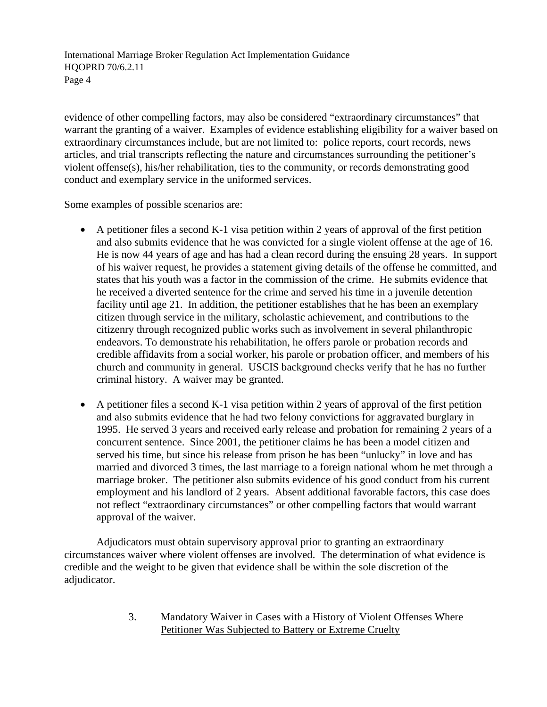evidence of other compelling factors, may also be considered "extraordinary circumstances" that warrant the granting of a waiver. Examples of evidence establishing eligibility for a waiver based on extraordinary circumstances include, but are not limited to: police reports, court records, news articles, and trial transcripts reflecting the nature and circumstances surrounding the petitioner's violent offense(s), his/her rehabilitation, ties to the community, or records demonstrating good conduct and exemplary service in the uniformed services.

Some examples of possible scenarios are:

- A petitioner files a second K-1 visa petition within 2 years of approval of the first petition and also submits evidence that he was convicted for a single violent offense at the age of 16. He is now 44 years of age and has had a clean record during the ensuing 28 years. In support of his waiver request, he provides a statement giving details of the offense he committed, and states that his youth was a factor in the commission of the crime. He submits evidence that he received a diverted sentence for the crime and served his time in a juvenile detention facility until age 21. In addition, the petitioner establishes that he has been an exemplary citizen through service in the military, scholastic achievement, and contributions to the citizenry through recognized public works such as involvement in several philanthropic endeavors. To demonstrate his rehabilitation, he offers parole or probation records and credible affidavits from a social worker, his parole or probation officer, and members of his church and community in general. USCIS background checks verify that he has no further criminal history. A waiver may be granted.
- A petitioner files a second K-1 visa petition within 2 years of approval of the first petition and also submits evidence that he had two felony convictions for aggravated burglary in 1995. He served 3 years and received early release and probation for remaining 2 years of a concurrent sentence. Since 2001, the petitioner claims he has been a model citizen and served his time, but since his release from prison he has been "unlucky" in love and has married and divorced 3 times, the last marriage to a foreign national whom he met through a marriage broker. The petitioner also submits evidence of his good conduct from his current employment and his landlord of 2 years. Absent additional favorable factors, this case does not reflect "extraordinary circumstances" or other compelling factors that would warrant approval of the waiver.

Adjudicators must obtain supervisory approval prior to granting an extraordinary circumstances waiver where violent offenses are involved. The determination of what evidence is credible and the weight to be given that evidence shall be within the sole discretion of the adjudicator.

> 3. Mandatory Waiver in Cases with a History of Violent Offenses Where Petitioner Was Subjected to Battery or Extreme Cruelty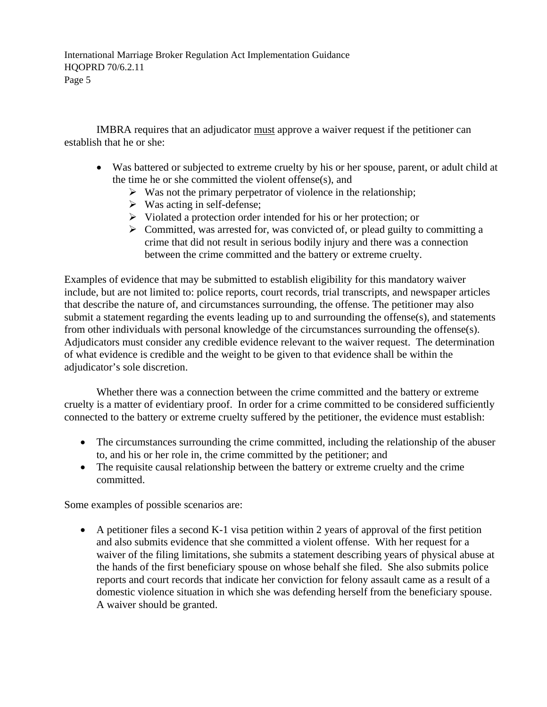IMBRA requires that an adjudicator must approve a waiver request if the petitioner can establish that he or she:

- Was battered or subjected to extreme cruelty by his or her spouse, parent, or adult child at the time he or she committed the violent offense(s), and
	- $\triangleright$  Was not the primary perpetrator of violence in the relationship;
	- $\triangleright$  Was acting in self-defense;
	- $\triangleright$  Violated a protection order intended for his or her protection; or
	- $\triangleright$  Committed, was arrested for, was convicted of, or plead guilty to committing a crime that did not result in serious bodily injury and there was a connection between the crime committed and the battery or extreme cruelty.

Examples of evidence that may be submitted to establish eligibility for this mandatory waiver include, but are not limited to: police reports, court records, trial transcripts, and newspaper articles that describe the nature of, and circumstances surrounding, the offense. The petitioner may also submit a statement regarding the events leading up to and surrounding the offense $(s)$ , and statements from other individuals with personal knowledge of the circumstances surrounding the offense(s). Adjudicators must consider any credible evidence relevant to the waiver request. The determination of what evidence is credible and the weight to be given to that evidence shall be within the adjudicator's sole discretion.

 Whether there was a connection between the crime committed and the battery or extreme cruelty is a matter of evidentiary proof. In order for a crime committed to be considered sufficiently connected to the battery or extreme cruelty suffered by the petitioner, the evidence must establish:

- The circumstances surrounding the crime committed, including the relationship of the abuser to, and his or her role in, the crime committed by the petitioner; and
- The requisite causal relationship between the battery or extreme cruelty and the crime committed.

Some examples of possible scenarios are:

• A petitioner files a second K-1 visa petition within 2 years of approval of the first petition and also submits evidence that she committed a violent offense. With her request for a waiver of the filing limitations, she submits a statement describing years of physical abuse at the hands of the first beneficiary spouse on whose behalf she filed. She also submits police reports and court records that indicate her conviction for felony assault came as a result of a domestic violence situation in which she was defending herself from the beneficiary spouse. A waiver should be granted.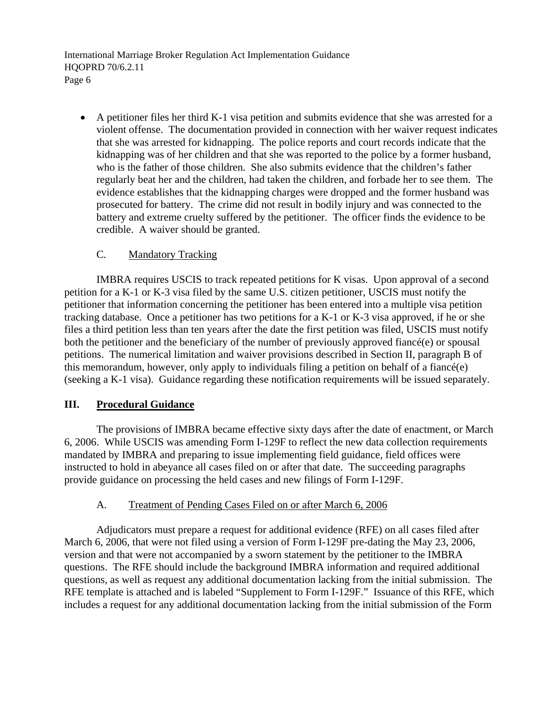• A petitioner files her third K-1 visa petition and submits evidence that she was arrested for a violent offense. The documentation provided in connection with her waiver request indicates that she was arrested for kidnapping. The police reports and court records indicate that the kidnapping was of her children and that she was reported to the police by a former husband, who is the father of those children. She also submits evidence that the children's father regularly beat her and the children, had taken the children, and forbade her to see them. The evidence establishes that the kidnapping charges were dropped and the former husband was prosecuted for battery. The crime did not result in bodily injury and was connected to the battery and extreme cruelty suffered by the petitioner. The officer finds the evidence to be credible. A waiver should be granted.

## C. Mandatory Tracking

 IMBRA requires USCIS to track repeated petitions for K visas. Upon approval of a second petition for a K-1 or K-3 visa filed by the same U.S. citizen petitioner, USCIS must notify the petitioner that information concerning the petitioner has been entered into a multiple visa petition tracking database. Once a petitioner has two petitions for a K-1 or K-3 visa approved, if he or she files a third petition less than ten years after the date the first petition was filed, USCIS must notify both the petitioner and the beneficiary of the number of previously approved fiancé(e) or spousal petitions. The numerical limitation and waiver provisions described in Section II, paragraph B of this memorandum, however, only apply to individuals filing a petition on behalf of a fiancé(e) (seeking a K-1 visa). Guidance regarding these notification requirements will be issued separately.

## **III. Procedural Guidance**

 The provisions of IMBRA became effective sixty days after the date of enactment, or March 6, 2006. While USCIS was amending Form I-129F to reflect the new data collection requirements mandated by IMBRA and preparing to issue implementing field guidance, field offices were instructed to hold in abeyance all cases filed on or after that date. The succeeding paragraphs provide guidance on processing the held cases and new filings of Form I-129F.

#### A. Treatment of Pending Cases Filed on or after March 6, 2006

 Adjudicators must prepare a request for additional evidence (RFE) on all cases filed after March 6, 2006, that were not filed using a version of Form I-129F pre-dating the May 23, 2006, version and that were not accompanied by a sworn statement by the petitioner to the IMBRA questions. The RFE should include the background IMBRA information and required additional questions, as well as request any additional documentation lacking from the initial submission. The RFE template is attached and is labeled "Supplement to Form I-129F." Issuance of this RFE, which includes a request for any additional documentation lacking from the initial submission of the Form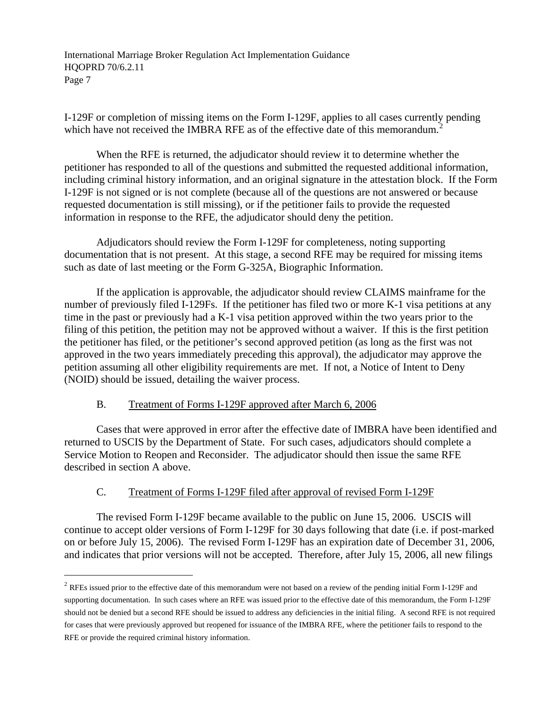I-129F or completion of missing items on the Form I-129F, applies to all cases currently pending which have not received the IMBRA RFE as of the effective date of this memorandum.<sup>[2](#page-6-0)</sup>

 When the RFE is returned, the adjudicator should review it to determine whether the petitioner has responded to all of the questions and submitted the requested additional information, including criminal history information, and an original signature in the attestation block. If the Form I-129F is not signed or is not complete (because all of the questions are not answered or because requested documentation is still missing), or if the petitioner fails to provide the requested information in response to the RFE, the adjudicator should deny the petition.

 Adjudicators should review the Form I-129F for completeness, noting supporting documentation that is not present. At this stage, a second RFE may be required for missing items such as date of last meeting or the Form G-325A, Biographic Information.

 If the application is approvable, the adjudicator should review CLAIMS mainframe for the number of previously filed I-129Fs. If the petitioner has filed two or more K-1 visa petitions at any time in the past or previously had a K-1 visa petition approved within the two years prior to the filing of this petition, the petition may not be approved without a waiver. If this is the first petition the petitioner has filed, or the petitioner's second approved petition (as long as the first was not approved in the two years immediately preceding this approval), the adjudicator may approve the petition assuming all other eligibility requirements are met. If not, a Notice of Intent to Deny (NOID) should be issued, detailing the waiver process.

## B. Treatment of Forms I-129F approved after March 6, 2006

l

 Cases that were approved in error after the effective date of IMBRA have been identified and returned to USCIS by the Department of State. For such cases, adjudicators should complete a Service Motion to Reopen and Reconsider. The adjudicator should then issue the same RFE described in section A above.

## C. Treatment of Forms I-129F filed after approval of revised Form I-129F

 The revised Form I-129F became available to the public on June 15, 2006. USCIS will continue to accept older versions of Form I-129F for 30 days following that date (i.e. if post-marked on or before July 15, 2006). The revised Form I-129F has an expiration date of December 31, 2006, and indicates that prior versions will not be accepted. Therefore, after July 15, 2006, all new filings

<span id="page-6-0"></span> $2$  RFEs issued prior to the effective date of this memorandum were not based on a review of the pending initial Form I-129F and supporting documentation. In such cases where an RFE was issued prior to the effective date of this memorandum, the Form I-129F should not be denied but a second RFE should be issued to address any deficiencies in the initial filing. A second RFE is not required for cases that were previously approved but reopened for issuance of the IMBRA RFE, where the petitioner fails to respond to the RFE or provide the required criminal history information.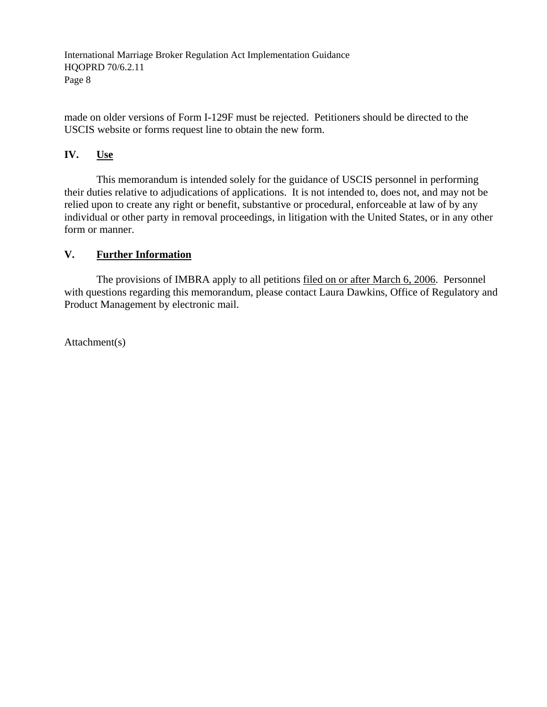made on older versions of Form I-129F must be rejected. Petitioners should be directed to the USCIS website or forms request line to obtain the new form.

## **IV. Use**

This memorandum is intended solely for the guidance of USCIS personnel in performing their duties relative to adjudications of applications. It is not intended to, does not, and may not be relied upon to create any right or benefit, substantive or procedural, enforceable at law of by any individual or other party in removal proceedings, in litigation with the United States, or in any other form or manner.

## **V. Further Information**

 The provisions of IMBRA apply to all petitions filed on or after March 6, 2006. Personnel with questions regarding this memorandum, please contact Laura Dawkins, Office of Regulatory and Product Management by electronic mail.

Attachment(s)